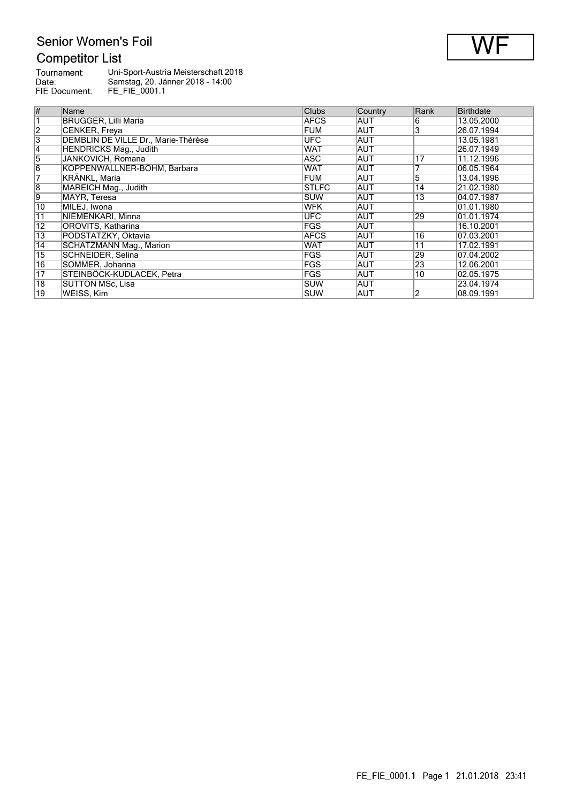## **Competitor List**

| Tournament:   | Uni-Sport-Austria Meisterschaft 2018 |
|---------------|--------------------------------------|
| Date:         | Samstag, 20. Jänner 2018 - 14:00     |
| FIE Document: | FE FIE 0001.1                        |

| #               | Name                                | Clubs        | Country    | Rank            | <b>Birthdate</b> |
|-----------------|-------------------------------------|--------------|------------|-----------------|------------------|
|                 | <b>BRUGGER, Lilli Maria</b>         | <b>AFCS</b>  | <b>AUT</b> | 6               | 13.05.2000       |
| $\overline{2}$  | CENKER, Freya                       | FUM          | <b>AUT</b> | 3               | 26.07.1994       |
| $\overline{3}$  | DEMBLIN DE VILLE Dr., Marie-Thérèse | <b>UFC</b>   | AUT        |                 | 13.05.1981       |
| $\overline{4}$  | <b>HENDRICKS Mag., Judith</b>       | WAT          | AUT        |                 | 26.07.1949       |
| 5               | JANKOVICH, Romana                   | ASC          | AUT        | 17              | 11.12.1996       |
| $\overline{6}$  | KOPPENWALLNER-BÖHM, Barbara         | <b>WAT</b>   | <b>AUT</b> |                 | 06.05.1964       |
| 7               | KRÄNKL. Maria                       | FUM          | AUT        | 5               | 13.04.1996       |
| $\overline{8}$  | MAREICH Mag., Judith                | <b>STLFC</b> | <b>AUT</b> | 14              | 21.02.1980       |
| $\overline{9}$  | MAYR, Teresa                        | <b>SUW</b>   | AUT        | $\overline{13}$ | 04.07.1987       |
| $\overline{10}$ | MILEJ, Iwona                        | <b>WFK</b>   | AUT        |                 | 01.01.1980       |
| $\overline{11}$ | NIEMENKARI, Minna                   | <b>UFC</b>   | AUT        | 29              | 01.01.1974       |
| 12              | OROVITS, Katharina                  | <b>IFGS</b>  | AUT        |                 | 16.10.2001       |
| 13              | PODSTATZKY, Oktavia                 | <b>AFCS</b>  | <b>AUT</b> | 16              | 07.03.2001       |
| 14              | <b>SCHATZMANN Mag., Marion</b>      | <b>WAT</b>   | <b>AUT</b> | 11              | 17.02.1991       |
| 15              | SCHNEIDER, Selina                   | FGS          | AUT        | 29              | 07.04.2002       |
| 16              | SOMMER, Johanna                     | <b>IFGS</b>  | AUT        | $\overline{23}$ | 12.06.2001       |
| $\overline{17}$ | STEINBÖCK-KUDLACEK, Petra           | <b>FGS</b>   | <b>AUT</b> | 10              | 02.05.1975       |
| $\overline{18}$ | <b>SUTTON MSc, Lisa</b>             | <b>SUW</b>   | AUT        |                 | 23.04.1974       |
| $\overline{19}$ | WEISS, Kim                          | <b>SUW</b>   | AUT        | 2               | 08.09.1991       |

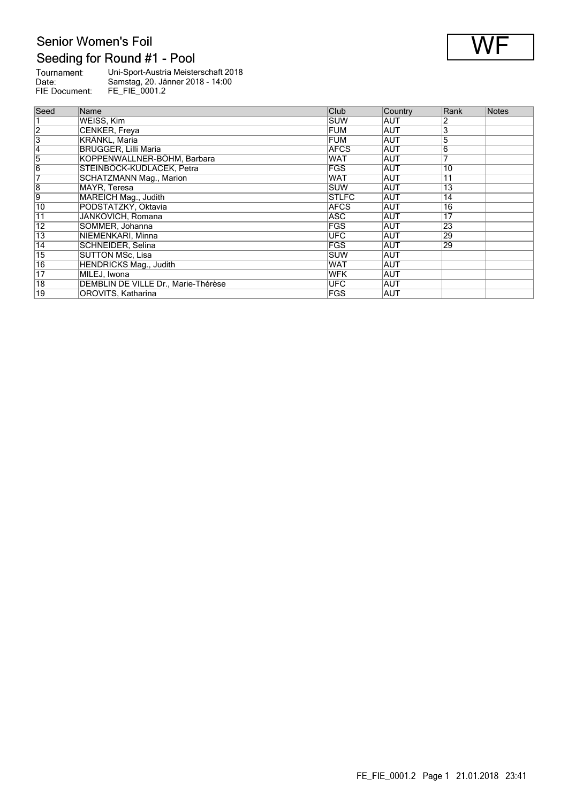## Senior Women's Foil Seeding for Round #1 - Pool

| Tournament:   | Uni-Sport-Austria Meisterschaft 2018 |
|---------------|--------------------------------------|
| Date:         | Samstag, 20. Jänner 2018 - 14:00     |
| FIE Document: | FE FIE 0001.2                        |
|               |                                      |

| Seed            | Name                                | Club         | Country    | Rank            | <b>Notes</b> |
|-----------------|-------------------------------------|--------------|------------|-----------------|--------------|
|                 | WEISS, Kim                          | SUW          | AUT        |                 |              |
| $\overline{2}$  | CENKER, Freya                       | FUM          | AUT        |                 |              |
| 3               | <b>KRÄNKL, Maria</b>                | FUM          | <b>AUT</b> | 5               |              |
| 4               | <b>BRUGGER, Lilli Maria</b>         | <b>AFCS</b>  | <b>AUT</b> | 6               |              |
| $\overline{5}$  | KOPPENWALLNER-BÖHM, Barbara         | <b>WAT</b>   | <b>AUT</b> |                 |              |
| 6               | STEINBÖCK-KUDLACEK, Petra           | <b>FGS</b>   | AUT        | 10              |              |
| 7               | <b>SCHATZMANN Mag., Marion</b>      | <b>WAT</b>   | <b>AUT</b> | $\overline{11}$ |              |
| $\overline{8}$  | MAYR. Teresa                        | <b>ISUW</b>  | AUT        | $\overline{13}$ |              |
| $\overline{9}$  | MAREICH Mag., Judith                | <b>STLFC</b> | <b>AUT</b> | 14              |              |
| 10              | PODSTATZKY, Oktavia                 | <b>AFCS</b>  | AUT        | 16              |              |
| 11              | JANKOVICH, Romana                   | ASC          | AUT        | 17              |              |
| $\overline{12}$ | SOMMER, Johanna                     | <b>FGS</b>   | AUT        | 23              |              |
| $\overline{13}$ | NIEMENKARI, Minna                   | <b>UFC</b>   | AUT        | 29              |              |
| 14              | SCHNEIDER, Selina                   | <b>FGS</b>   | AUT        | 29              |              |
| $\overline{15}$ | SUTTON MSc. Lisa                    | SUW          | <b>AUT</b> |                 |              |
| 16              | <b>HENDRICKS Mag., Judith</b>       | <b>WAT</b>   | <b>AUT</b> |                 |              |
| $\overline{17}$ | MILEJ. Iwona                        | <b>WFK</b>   | AUT        |                 |              |
| $\overline{18}$ | DEMBLIN DE VILLE Dr., Marie-Thérèse | <b>UFC</b>   | <b>AUT</b> |                 |              |
| $\overline{19}$ | <b>OROVITS, Katharina</b>           | FGS          | AUT        |                 |              |

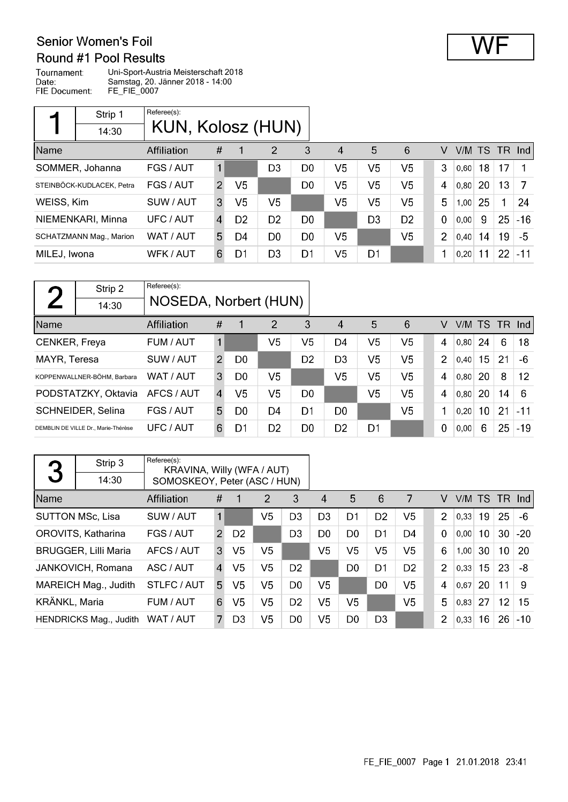## Round #1 Pool Results

Tournament: Uni-Sport-Austria Meisterschaft 2018 Todifiament.<br>Date:<br>FIE Document: Samstag, 20. Jänner 2018 - 14:00 FE\_FIE\_0007

|              | Strip 1                   | Referee(s):       |                |                |                |                |                        |                |                |                |      |     |    |        |
|--------------|---------------------------|-------------------|----------------|----------------|----------------|----------------|------------------------|----------------|----------------|----------------|------|-----|----|--------|
|              | 14:30                     | KUN, Kolosz (HUN) |                |                |                |                |                        |                |                |                |      |     |    |        |
| Name         |                           | Affiliation       | #              |                | $\overline{2}$ | 3              | $\boldsymbol{\Lambda}$ | 5              | 6              | v              | V/M  | TS. |    | TR Ind |
|              | SOMMER, Johanna           | FGS / AUT         | $\mathbf{1}$   |                | D3             | D <sub>0</sub> | V5                     | V5             | V5             | 3              | 0,60 | 18  | 17 |        |
|              | STEINBÖCK-KUDLACEK, Petra | FGS / AUT         | $\mathcal{P}$  | V5             |                | D <sub>0</sub> | V <sub>5</sub>         | V <sub>5</sub> | V5             | 4              | 0.80 | 20  | 13 | 7      |
| WEISS, Kim   |                           | SUW / AUT         | 3              | V5             | V5             |                | V5                     | V <sub>5</sub> | V <sub>5</sub> | 5              | 1,00 | 25  | 1  | 24     |
|              | NIEMENKARI, Minna         | UFC / AUT         | $\overline{4}$ | D <sub>2</sub> | D <sub>2</sub> | D <sub>0</sub> |                        | D <sub>3</sub> | D <sub>2</sub> | $\mathbf 0$    | 0,00 | 9   | 25 | $-16$  |
|              | SCHATZMANN Mag., Marion   | WAT / AUT         | 5              | D4             | D0             | D <sub>0</sub> | V <sub>5</sub>         |                | V <sub>5</sub> | $\overline{2}$ | 0,40 | 14  | 19 | $-5$   |
| MILEJ, Iwona |                           | WFK / AUT         | 6              | D1             | D <sub>3</sub> | D <sub>1</sub> | V5                     | D <sub>1</sub> |                |                | 0.20 | 11  | 22 | $-11$  |

| $\blacksquare$ | Strip 2                             | Referee(s):           |                |                |                |                |                |    |                |                |        |    |      |                   |
|----------------|-------------------------------------|-----------------------|----------------|----------------|----------------|----------------|----------------|----|----------------|----------------|--------|----|------|-------------------|
|                | 14:30                               | NOSEDA, Norbert (HUN) |                |                |                |                |                |    |                |                |        |    |      |                   |
| Name           |                                     | Affiliation           | #              | 1              | $\overline{2}$ | 3              | 4              | 5  | 6              | v              | V/M TS |    | - TR | Ind               |
| CENKER, Freya  |                                     | FUM / AUT             | $\mathbf{1}$   |                | V <sub>5</sub> | V5             | D4             | V5 | V <sub>5</sub> | 4              | 0.80   | 24 | 6    | 18                |
| MAYR, Teresa   |                                     | SUW / AUT             | $\mathcal{P}$  | D <sub>0</sub> |                | D <sub>2</sub> | D <sub>3</sub> | V5 | V <sub>5</sub> | $\overline{2}$ | 0.40   | 15 | 21   | -6                |
|                | KOPPENWALLNER-BÖHM, Barbara         | WAT / AUT             | 3              | D <sub>0</sub> | V5             |                | V5             | V5 | V <sub>5</sub> | 4              | 0,80   | 20 | 8    | $12 \overline{ }$ |
|                | PODSTATZKY, Oktavia                 | AFCS / AUT            | $\overline{4}$ | V5             | V <sub>5</sub> | D <sub>0</sub> |                | V5 | V <sub>5</sub> | 4              | 0,80   | 20 | 14   | 6                 |
|                | SCHNEIDER, Selina                   | FGS / AUT             | 5              | D0             | D4             | D1             | D <sub>0</sub> |    | V5             | 1              | 0.20   | 10 | 21   | -11               |
|                | DEMBLIN DE VILLE Dr., Marie-Thérèse | UFC / AUT             | 6              | D1             | D <sub>2</sub> | D <sub>0</sub> | D <sub>2</sub> | D1 |                | 0              | 0,00   | 6  | 25   | $-19$             |

| 3             | Strip 3<br>14:30            | Referee(s):<br>KRAVINA, Willy (WFA / AUT)<br>SOMOSKEOY, Peter (ASC / HUN) |                |                |                |                |                |                |                |                |                |        |                 |                 |       |
|---------------|-----------------------------|---------------------------------------------------------------------------|----------------|----------------|----------------|----------------|----------------|----------------|----------------|----------------|----------------|--------|-----------------|-----------------|-------|
| Name          |                             | Affiliation                                                               | #              |                | 2              | 3              | 4              | 5              | 6              | 7              | V              | V/M TS |                 | $TR$ Ind        |       |
|               | <b>SUTTON MSc, Lisa</b>     | SUW / AUT                                                                 |                |                | V5             | D <sub>3</sub> | D <sub>3</sub> | D <sub>1</sub> | D <sub>2</sub> | V <sub>5</sub> | $\overline{2}$ | 0,33   | 19              | 25              | $-6$  |
|               | OROVITS, Katharina          | FGS / AUT                                                                 | $\overline{2}$ | D <sub>2</sub> |                | D <sub>3</sub> | D <sub>0</sub> | D <sub>0</sub> | D <sub>1</sub> | D <sub>4</sub> | $\Omega$       | 0.00   | 10 <sup>°</sup> | 30              | $-20$ |
|               | <b>BRUGGER, Lilli Maria</b> | AFCS / AUT                                                                | 3              | V <sub>5</sub> | V <sub>5</sub> |                | V <sub>5</sub> | V <sub>5</sub> | V <sub>5</sub> | V <sub>5</sub> | 6              | 1,00   | 30              | 10 <sup>°</sup> | 20    |
|               | JANKOVICH, Romana           | ASC / AUT                                                                 | 4              | V <sub>5</sub> | V <sub>5</sub> | D <sub>2</sub> |                | D <sub>0</sub> | D <sub>1</sub> | D <sub>2</sub> | $\overline{2}$ | 0,33   | 15              | 23              | -8    |
|               | MAREICH Mag., Judith        | STLFC / AUT                                                               | 5              | V5             | V <sub>5</sub> | D <sub>0</sub> | V5.            |                | D <sub>0</sub> | V <sub>5</sub> | 4              | 0.67   | 20              | 11              | 9     |
| KRÄNKL, Maria |                             | FUM / AUT                                                                 | 6              | V5             | V5             | D <sub>2</sub> | V5             | V5             |                | V <sub>5</sub> | 5              | 0.83   | 27              | 12              | 15    |
|               | HENDRICKS Mag., Judith      | WAT / AUT                                                                 | 7              | D <sub>3</sub> | V <sub>5</sub> | D0             | V5             | D <sub>0</sub> | D <sub>3</sub> |                | $\overline{2}$ | 0,33   | 16              | 26              | $-10$ |

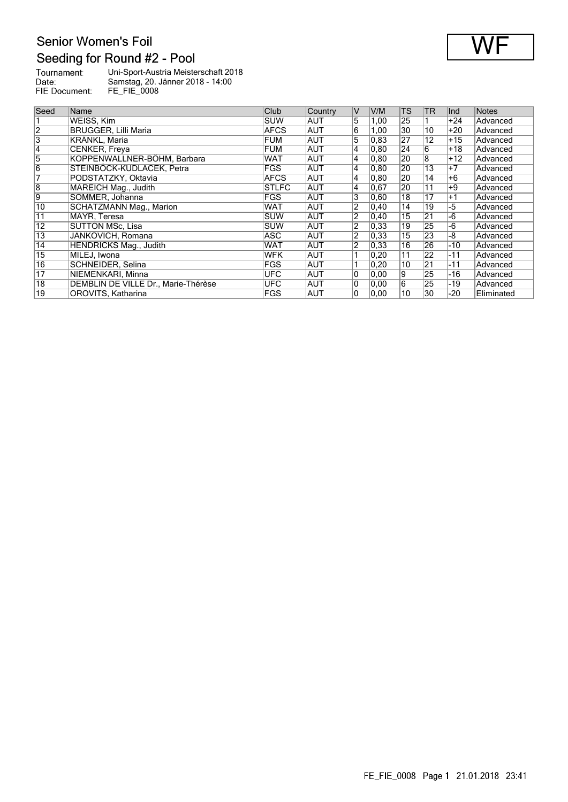## Senior Women's Foil Seeding for Round #2 - Pool



Tournament:<br>Date:<br>FIE Document: Uni-Sport-Austria Meisterschaft 2018 Samstag, 20. Jänner 2018 - 14:00 FE\_FIE\_0008

| Seed            | Name                                | <b>Club</b>  | Country    | $\vee$         | V/M            | <b>TS</b>       | <b>TR</b>       | Ind   | <b>Notes</b> |
|-----------------|-------------------------------------|--------------|------------|----------------|----------------|-----------------|-----------------|-------|--------------|
|                 | WEISS, Kim                          | <b>SUW</b>   | <b>AUT</b> | 5              | 1,00           | 25              |                 | $+24$ | Advanced     |
| $\overline{2}$  | <b>BRUGGER, Lilli Maria</b>         | <b>AFCS</b>  | <b>AUT</b> | 6              | 1,00           | $ 30\rangle$    | 10              | $+20$ | Advanced     |
| $\overline{3}$  | KRÄNKL. Maria                       | <b>FUM</b>   | <b>AUT</b> | 5              | 0,83           | 27              | 12              | $+15$ | Advanced     |
| 4               | CENKER, Freya                       | <b>FUM</b>   | <b>AUT</b> | 4              | 0, 80          | 24              | 6               | $+18$ | Advanced     |
| 5               | KOPPENWALLNER-BÖHM, Barbara         | WAT          | <b>AUT</b> | 4              | $ 0,80\rangle$ | 20              | 8               | $+12$ | Advanced     |
| $\overline{6}$  | STEINBÖCK-KUDLACEK, Petra           | FGS          | <b>AUT</b> | 4              | 0.80           | 20              | 13              | $+7$  | Advanced     |
| 7               | PODSTATZKY, Oktavia                 | <b>AFCS</b>  | <b>AUT</b> | 4              | $ 0,80\rangle$ | $\overline{20}$ | 14              | $+6$  | Advanced     |
| $\overline{8}$  | MAREICH Mag., Judith                | <b>STLFC</b> | <b>AUT</b> | 4              | 0.67           | 20              | 11              | $+9$  | Advanced     |
| 9               | SOMMER, Johanna                     | FGS          | <b>AUT</b> | 3              | 0,60           | 18              | 17              | $+1$  | Advanced     |
| 10              | <b>SCHATZMANN Mag., Marion</b>      | <b>WAT</b>   | <b>AUT</b> | $\overline{2}$ | 0, 40          | 14              | 19              | $-5$  | Advanced     |
| 11              | MAYR, Teresa                        | <b>SUW</b>   | <b>AUT</b> | $\overline{2}$ | $ 0,40\rangle$ | 15              | $\overline{21}$ | -6    | Advanced     |
| $\overline{12}$ | SUTTON MSc. Lisa                    | <b>SUW</b>   | <b>AUT</b> | $\overline{2}$ | 0,33           | 19              | 25              | -6    | Advanced     |
| 13              | JANKOVICH, Romana                   | ASC          | <b>AUT</b> | 2              | 0,33           | 15              | 23              | -8    | Advanced     |
| 14              | HENDRICKS Mag., Judith              | <b>WAT</b>   | <b>AUT</b> | $\overline{2}$ | 0,33           | 16              | 26              | -10   | Advanced     |
| 15              | MILEJ, Iwona                        | <b>WFK</b>   | <b>AUT</b> | 1              | 0,20           | 11              | 22              | $-11$ | Advanced     |
| 16              | SCHNEIDER, Selina                   | <b>FGS</b>   | <b>AUT</b> | 1              | 0,20           | $\overline{10}$ | $\overline{21}$ | $-11$ | Advanced     |
| $\overline{17}$ | NIEMENKARI, Minna                   | <b>UFC</b>   | <b>AUT</b> | 0              | 0,00           | 19              | 25              | -16   | Advanced     |
| $\overline{18}$ | DEMBLIN DE VILLE Dr., Marie-Thérèse | <b>UFC</b>   | <b>AUT</b> | 0              | 0.00           | $\overline{6}$  | 25              | -19   | Advanced     |
| $\overline{19}$ | OROVITS, Katharina                  | FGS          | <b>AUT</b> | 0              | 0,00           | 10              | 30              | -20   | Eliminated   |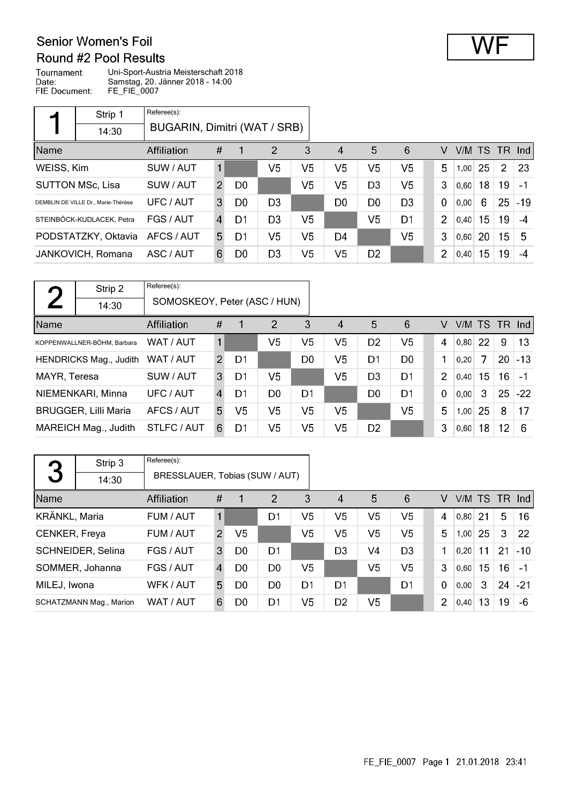### Round #2 Pool Results Tournament:

Uni-Sport-Austria Meisterschaft 2018 Date: Samstag, 20. Jänner 2018 - 14:00 FIE Document: FE\_FIE\_0007

|            | Strip 1                             | Referee(s):                  |               |                |                |                |                |                |                |                |        |    |                |          |
|------------|-------------------------------------|------------------------------|---------------|----------------|----------------|----------------|----------------|----------------|----------------|----------------|--------|----|----------------|----------|
|            | 14:30                               | BUGARIN, Dimitri (WAT / SRB) |               |                |                |                |                |                |                |                |        |    |                |          |
| Name       |                                     | Affiliation                  | #             | 1              | $\overline{2}$ | 3              | 4              | 5              | 6              | V              | V/M TS |    |                | $TR$ Ind |
| WEISS, Kim |                                     | SUW / AUT                    | 1             |                | V <sub>5</sub> | V5             | V <sub>5</sub> | V5             | V <sub>5</sub> | 5              | 1,00   | 25 | $\overline{2}$ | 23       |
|            | <b>SUTTON MSc, Lisa</b>             | SUW / AUT                    | $\mathcal{P}$ | D <sub>0</sub> |                | V5             | V <sub>5</sub> | D <sub>3</sub> | V <sub>5</sub> | 3              | 0,60   | 18 | 19             | $-1$     |
|            | DEMBLIN DE VILLE Dr., Marie-Thérèse | UFC / AUT                    | 3             | D <sub>0</sub> | D <sub>3</sub> |                | D <sub>0</sub> | D <sub>0</sub> | D <sub>3</sub> | $\Omega$       | 0.00   | 6  | 25             | $-19$    |
|            | STEINBÖCK-KUDLACEK, Petra           | FGS / AUT                    | 4             | D1             | D <sub>3</sub> | V5             |                | V <sub>5</sub> | D <sub>1</sub> | $\overline{2}$ | 0,40   | 15 | 19             | $-4$     |
|            | PODSTATZKY, Oktavia                 | AFCS / AUT                   | 5             | D1             | V <sub>5</sub> | V <sub>5</sub> | D <sub>4</sub> |                | V <sub>5</sub> | 3              | 0,60   | 20 | 15             | 5        |
|            | JANKOVICH, Romana                   | ASC / AUT                    | 6             | D <sub>0</sub> | D <sub>3</sub> | V <sub>5</sub> | V5             | D <sub>2</sub> |                | $\overline{2}$ | 0,40   | 15 | 19             | $-4$     |

| $\Gamma$     | Strip 2                       | Referee(s):                  |               |                |                |                |                |                |                |                |      |    |    |                 |
|--------------|-------------------------------|------------------------------|---------------|----------------|----------------|----------------|----------------|----------------|----------------|----------------|------|----|----|-----------------|
|              | 14:30                         | SOMOSKEOY, Peter (ASC / HUN) |               |                |                |                |                |                |                |                |      |    |    |                 |
| Name         |                               | Affiliation                  | #             | 1              | $\overline{2}$ | 3              | $\overline{4}$ | 5              | 6              | v              |      |    |    | $V/M$ TS TR Ind |
|              | KOPPENWALLNER-BÖHM, Barbara   | WAT / AUT                    |               |                | V <sub>5</sub> | V <sub>5</sub> | V5             | D <sub>2</sub> | V <sub>5</sub> | 4              | 0.80 | 22 | 9  | 13              |
|              | <b>HENDRICKS Mag., Judith</b> | WAT / AUT                    | $\mathcal{P}$ | D1             |                | D <sub>0</sub> | V <sub>5</sub> | D <sub>1</sub> | D <sub>0</sub> | 1              | 0.20 | 7  | 20 | $-13$           |
| MAYR, Teresa |                               | SUW / AUT                    | 3             | D1             | V5             |                | V <sub>5</sub> | D <sub>3</sub> | D <sub>1</sub> | $\overline{2}$ | 0,40 | 15 | 16 | $-1$            |
|              | NIEMENKARI, Minna             | UFC / AUT                    | 4             | D1             | D <sub>0</sub> | D <sub>1</sub> |                | D <sub>0</sub> | D <sub>1</sub> | $\mathbf 0$    | 0,00 | 3  | 25 | $-22$           |
|              | <b>BRUGGER, Lilli Maria</b>   | AFCS / AUT                   | 5             | V <sub>5</sub> | V <sub>5</sub> | V <sub>5</sub> | V <sub>5</sub> |                | V <sub>5</sub> | 5              | 1,00 | 25 | 8  | 17              |
|              | MAREICH Mag., Judith          | STLFC / AUT                  | 6             | D1             | V <sub>5</sub> | V <sub>5</sub> | V5             | D <sub>2</sub> |                | 3              | 0,60 | 18 | 12 | 6               |

|               | Strip 3                        | Referee(s):                    |               |                |                |                |                        |                |                |                |        |    |    |        |
|---------------|--------------------------------|--------------------------------|---------------|----------------|----------------|----------------|------------------------|----------------|----------------|----------------|--------|----|----|--------|
| 3             | 14:30                          | BRESSLAUER, Tobias (SUW / AUT) |               |                |                |                |                        |                |                |                |        |    |    |        |
| Name          |                                | Affiliation                    | #             | 1              | $\overline{2}$ | 3              | $\boldsymbol{\Lambda}$ | 5              | 6              | V              | V/M TS |    |    | TR Ind |
| KRÄNKL, Maria |                                | FUM / AUT                      |               |                | D1             | V5             | V <sub>5</sub>         | V5             | V <sub>5</sub> | 4              | 0.80   | 21 | 5  | 16     |
| CENKER, Freya |                                | FUM / AUT                      | $\mathcal{P}$ | V5             |                | V <sub>5</sub> | V <sub>5</sub>         | V <sub>5</sub> | V <sub>5</sub> | 5              | 1,00   | 25 | 3  | 22     |
|               | SCHNEIDER, Selina              | FGS / AUT                      | 3             | D <sub>0</sub> | D <sub>1</sub> |                | D <sub>3</sub>         | V <sub>4</sub> | D <sub>3</sub> | 1              | 0.20   | 11 | 21 | $-10$  |
|               | SOMMER, Johanna                | FGS / AUT                      | 4             | D <sub>0</sub> | D <sub>0</sub> | V5             |                        | V <sub>5</sub> | V <sub>5</sub> | 3              | 0,60   | 15 | 16 | $-1$   |
| MILEJ, Iwona  |                                | WFK / AUT                      | 5             | D <sub>0</sub> | D <sub>0</sub> | D <sub>1</sub> | D1                     |                | D <sub>1</sub> | $\mathbf 0$    | 0.00   | 3  | 24 | $-21$  |
|               | <b>SCHATZMANN Mag., Marion</b> | WAT / AUT                      | 6             | D0             | D1             | V5             | D <sub>2</sub>         | V <sub>5</sub> |                | $\overline{2}$ | 0,40   | 13 | 19 | -6     |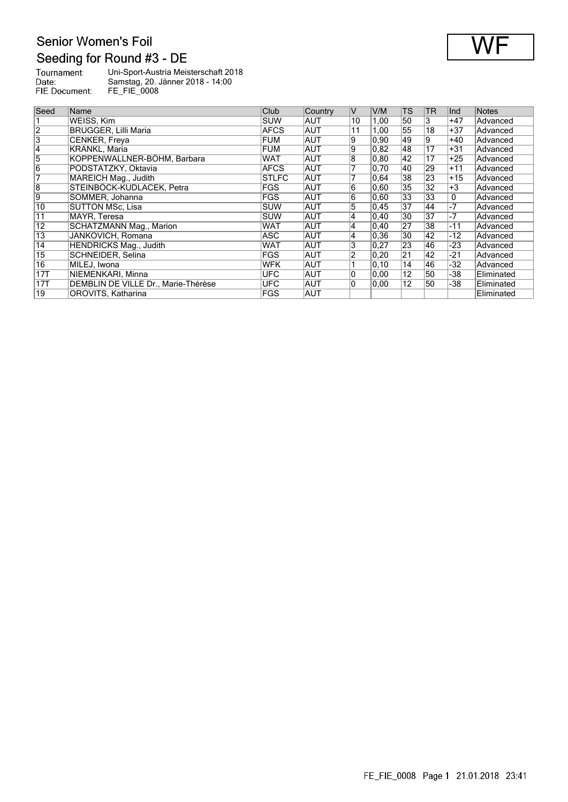

| Tournament:   | Uni-Sport-Austria Meisterschaft 2018 |
|---------------|--------------------------------------|
| Date:         | Samstag, 20. Jänner 2018 - 14:00     |
| FIE Document: | <b>FE FIE 0008</b>                   |

| Seed            | Name                                | Club         | Country    | IV             | V/M   | <b>TS</b>       | TR              | Ind   | <b>Notes</b> |
|-----------------|-------------------------------------|--------------|------------|----------------|-------|-----------------|-----------------|-------|--------------|
|                 | WEISS, Kim                          | SUW          | <b>AUT</b> | 10             | 1,00  | 50              | 3               | $+47$ | Advanced     |
| $\overline{2}$  | <b>BRUGGER, Lilli Maria</b>         | <b>AFCS</b>  | AUT        | 11             | 1,00  | 55              | $\overline{18}$ | $+37$ | Advanced     |
| $\overline{3}$  | CENKER, Freya                       | FUM          | AUT        | 9              | 0,90  | 49              | 9               | $+40$ | Advanced     |
| 4               | KRÄNKL, Maria                       | FUM          | <b>AUT</b> | 9              | 0.82  | 48              | 17              | $+31$ | Advanced     |
| $\overline{5}$  | KOPPENWALLNER-BÖHM, Barbara         | <b>WAT</b>   | AUT        | 8              | 0,80  | 42              | 17              | $+25$ | Advanced     |
| $\overline{6}$  | PODSTATZKY, Oktavia                 | <b>AFCS</b>  | <b>AUT</b> | 7              | 0,70  | 40              | 29              | $+11$ | Advanced     |
| 7               | MAREICH Mag., Judith                | <b>STLFC</b> | AUT        |                | 0.64  | 38              | 23              | $+15$ | Advanced     |
| $\overline{8}$  | STEINBÖCK-KUDLACEK. Petra           | <b>FGS</b>   | <b>AUT</b> | 6              | 0,60  | $\overline{35}$ | $\overline{32}$ | $+3$  | Advanced     |
| 9               | SOMMER, Johanna                     | FGS          | AUT        | $\overline{6}$ | 0,60  | $\overline{33}$ | 33              | 0     | Advanced     |
| 10              | SUTTON MSc. Lisa                    | <b>ISUW</b>  | <b>AUT</b> | 5              | 0.45  | 37              | 44              | $-7$  | Advanced     |
| $\overline{11}$ | MAYR, Teresa                        | ∣SUW         | AUT        | 4              | 0,40  | 30              | 37              | $-7$  | Advanced     |
| $\overline{12}$ | SCHATZMANN Mag., Marion             | <b>WAT</b>   | <b>AUT</b> | 4              | 0,40  | 27              | 38              | $-11$ | Advanced     |
| $\overline{13}$ | JANKOVICH, Romana                   | <b>ASC</b>   | AUT        | 4              | 0,36  | 30              | 42              | -12   | Advanced     |
| 14              | HENDRICKS Mag., Judith              | <b>WAT</b>   | AUT        | 3              | 0,27  | 23              | 46              | -23   | Advanced     |
| $\overline{15}$ | SCHNEIDER, Selina                   | <b>FGS</b>   | <b>AUT</b> | 2              | 0,20  | $\overline{21}$ | 42              | -21   | Advanced     |
| 16              | MILEJ, Iwona                        | <b>WFK</b>   | <b>AUT</b> |                | 0, 10 | 14              | 46              | -32   | Advanced     |
| 17T             | NIEMENKARI, Minna                   | <b>UFC</b>   | AUT        | 0              | 0.00  | $\overline{12}$ | 50              | -38   | Eliminated   |
| 17T             | DEMBLIN DE VILLE Dr., Marie-Thérèse | <b>UFC</b>   | AUT        | 0              | 0.00  | $\overline{12}$ | 50              | -38   | Eliminated   |
| $\overline{19}$ | OROVITS, Katharina                  | <b>FGS</b>   | AUT        |                |       |                 |                 |       | Eliminated   |

FE\_FIE\_0008 Page 1 21.01.2018 23:41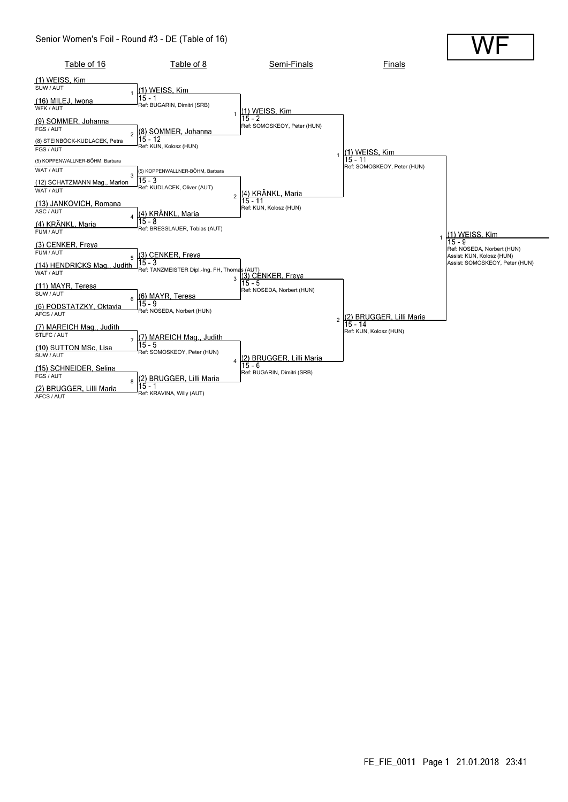#### Senior Women's Foil - Round #3 - DE (Table of 16)

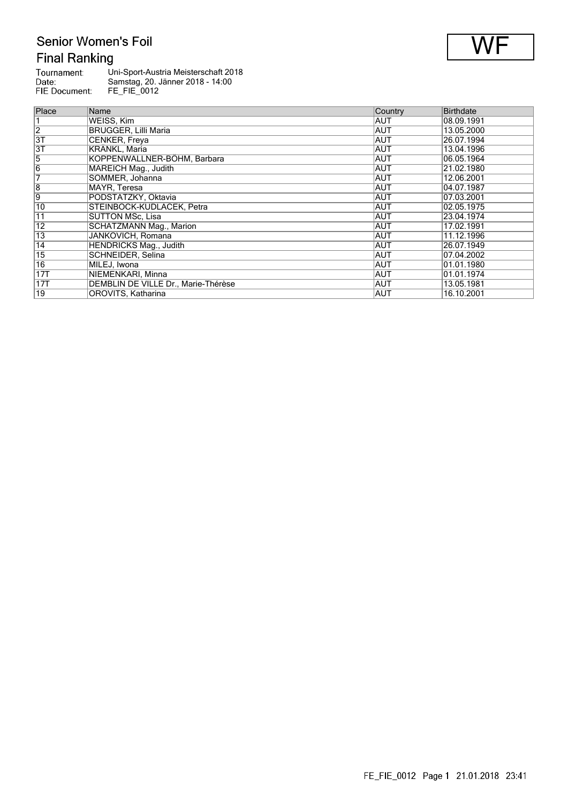## Senior Women's Foil **Final Ranking**

| Tournament:   | Uni-Sport-Austria Meisterschaft 2018 |
|---------------|--------------------------------------|
| Date:         | Samstag, 20. Jänner 2018 - 14:00     |
| FIE Document: | FE FIE 0012                          |

| Place           | Name                                | Country    | <b>Birthdate</b> |
|-----------------|-------------------------------------|------------|------------------|
|                 | WEISS, Kim                          | AUT        | 08.09.1991       |
| $\overline{2}$  | <b>BRUGGER, Lilli Maria</b>         | <b>AUT</b> | 13.05.2000       |
| $\overline{3T}$ | CENKER, Freya                       | AUT        | 26.07.1994       |
| 3T              | KRÄNKL, Maria                       | <b>AUT</b> | 13.04.1996       |
| $\overline{5}$  | KOPPENWALLNER-BÖHM, Barbara         | <b>AUT</b> | 06.05.1964       |
| $\overline{6}$  | MAREICH Mag., Judith                | AUT        | 21.02.1980       |
| 7               | SOMMER, Johanna                     | <b>AUT</b> | 12.06.2001       |
| $\overline{8}$  | MAYR. Teresa                        | <b>AUT</b> | 04.07.1987       |
| $\overline{9}$  | PODSTATZKY, Oktavia                 | AUT        | 07.03.2001       |
| 10              | STEINBÖCK-KUDLACEK, Petra           | AUT        | 02.05.1975       |
| $\overline{11}$ | <b>SUTTON MSc. Lisa</b>             | <b>AUT</b> | 23.04.1974       |
| $\overline{12}$ | <b>SCHATZMANN Mag., Marion</b>      | AUT        | 17.02.1991       |
| 13              | JANKOVICH, Romana                   | <b>AUT</b> | 11.12.1996       |
| 14              | <b>HENDRICKS Mag., Judith</b>       | <b>AUT</b> | 26.07.1949       |
| $\overline{15}$ | SCHNEIDER, Selina                   | AUT        | 07.04.2002       |
| $\overline{16}$ | MILEJ, Iwona                        | <b>AUT</b> | 01.01.1980       |
| 17T             | NIEMENKARI, Minna                   | AUT        | 01.01.1974       |
| 17T             | DEMBLIN DE VILLE Dr., Marie-Thérèse | AUT        | 13.05.1981       |
| $\overline{19}$ | OROVITS, Katharina                  | AUT        | 16.10.2001       |